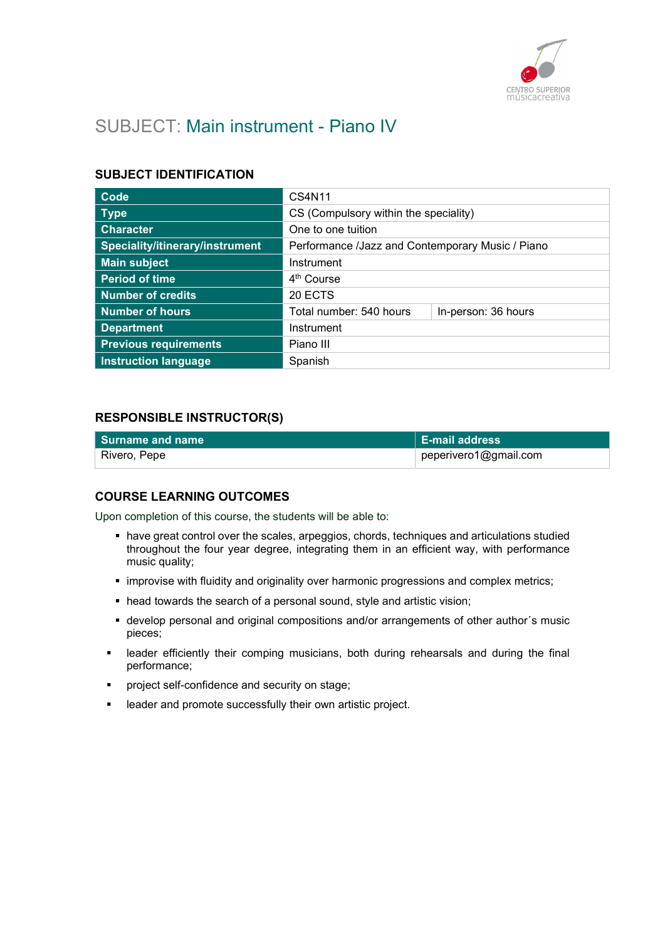

# SUBJECT: Main instrument - Piano IV

#### SUBJECT IDENTIFICATION

| Code                            | CS4N11                                           |                     |
|---------------------------------|--------------------------------------------------|---------------------|
| <b>Type</b>                     | CS (Compulsory within the speciality)            |                     |
| <b>Character</b>                | One to one tuition                               |                     |
| Speciality/itinerary/instrument | Performance /Jazz and Contemporary Music / Piano |                     |
| <b>Main subject</b>             | Instrument                                       |                     |
| <b>Period of time</b>           | 4 <sup>th</sup> Course                           |                     |
| <b>Number of credits</b>        | 20 ECTS                                          |                     |
| Number of hours                 | Total number: 540 hours                          | In-person: 36 hours |
| <b>Department</b>               | Instrument                                       |                     |
| <b>Previous requirements</b>    | Piano III                                        |                     |
| <b>Instruction language</b>     | Spanish                                          |                     |

### RESPONSIBLE INSTRUCTOR(S)

| l Surname and name | $\mathsf{E}\mathsf{-mail}$ address |
|--------------------|------------------------------------|
| ⊦ Rivero, Pepe     | peperivero1@gmail.com              |

#### COURSE LEARNING OUTCOMES

Upon completion of this course, the students will be able to:

- have great control over the scales, arpeggios, chords, techniques and articulations studied throughout the four year degree, integrating them in an efficient way, with performance music quality;
- **·** improvise with fluidity and originality over harmonic progressions and complex metrics;
- head towards the search of a personal sound, style and artistic vision;
- develop personal and original compositions and/or arrangements of other author´s music pieces;
- **EXE** leader efficiently their comping musicians, both during rehearsals and during the final performance;
- project self-confidence and security on stage;
- leader and promote successfully their own artistic project.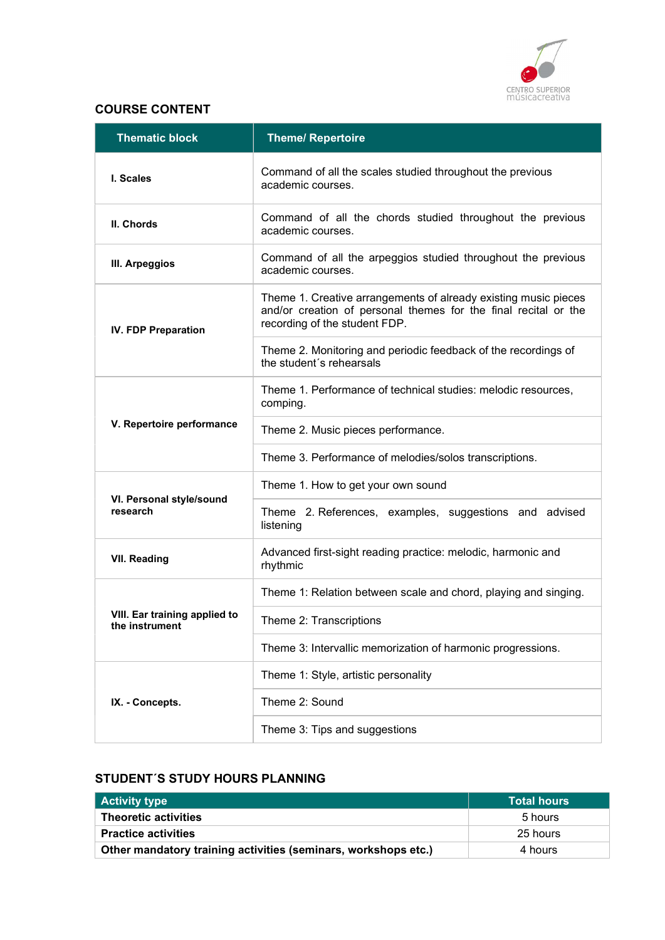

## COURSE CONTENT

| <b>Thematic block</b>                           | <b>Theme/ Repertoire</b>                                                                                                                                            |
|-------------------------------------------------|---------------------------------------------------------------------------------------------------------------------------------------------------------------------|
| I. Scales                                       | Command of all the scales studied throughout the previous<br>academic courses.                                                                                      |
| II. Chords                                      | Command of all the chords studied throughout the previous<br>academic courses.                                                                                      |
| III. Arpeggios                                  | Command of all the arpeggios studied throughout the previous<br>academic courses.                                                                                   |
| <b>IV. FDP Preparation</b>                      | Theme 1. Creative arrangements of already existing music pieces<br>and/or creation of personal themes for the final recital or the<br>recording of the student FDP. |
|                                                 | Theme 2. Monitoring and periodic feedback of the recordings of<br>the student's rehearsals                                                                          |
|                                                 | Theme 1. Performance of technical studies: melodic resources,<br>comping.                                                                                           |
| V. Repertoire performance                       | Theme 2. Music pieces performance.                                                                                                                                  |
|                                                 | Theme 3. Performance of melodies/solos transcriptions.                                                                                                              |
|                                                 | Theme 1. How to get your own sound                                                                                                                                  |
| VI. Personal style/sound<br>research            | Theme 2. References, examples, suggestions and advised<br>listening                                                                                                 |
| <b>VII. Reading</b>                             | Advanced first-sight reading practice: melodic, harmonic and<br>rhythmic                                                                                            |
|                                                 | Theme 1: Relation between scale and chord, playing and singing.                                                                                                     |
| VIII. Ear training applied to<br>the instrument | Theme 2: Transcriptions                                                                                                                                             |
|                                                 | Theme 3: Intervallic memorization of harmonic progressions.                                                                                                         |
|                                                 | Theme 1: Style, artistic personality                                                                                                                                |
| IX. - Concepts.                                 | Theme 2: Sound                                                                                                                                                      |
|                                                 | Theme 3: Tips and suggestions                                                                                                                                       |

# STUDENT´S STUDY HOURS PLANNING

| <b>Activity type</b>                                           | <b>Total hours</b> |
|----------------------------------------------------------------|--------------------|
| <b>Theoretic activities</b>                                    | 5 hours            |
| <b>Practice activities</b>                                     | 25 hours           |
| Other mandatory training activities (seminars, workshops etc.) | 4 hours            |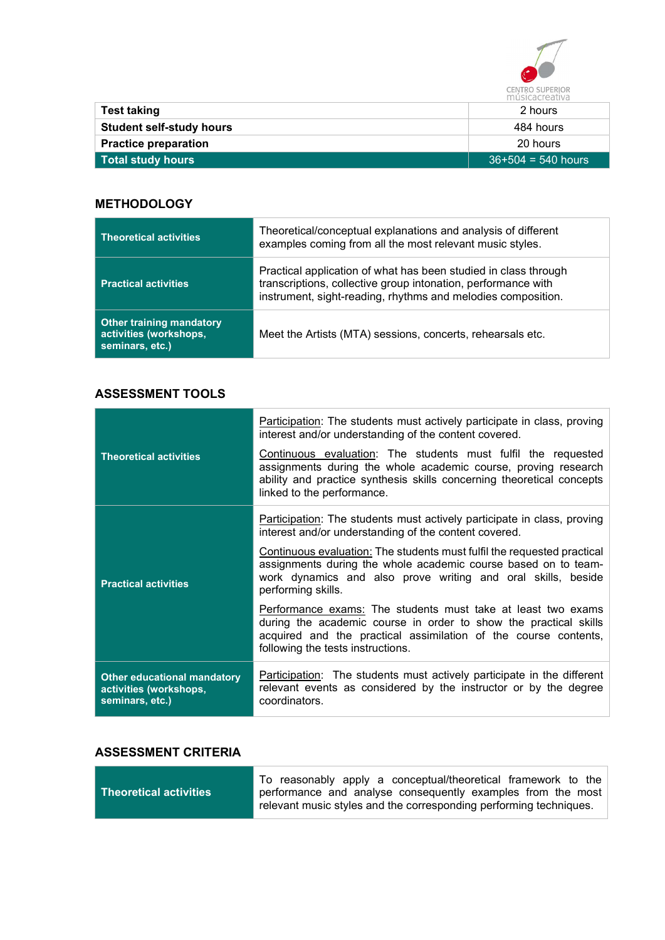

| <b>Test taking</b>              | 2 hours              |
|---------------------------------|----------------------|
| <b>Student self-study hours</b> | 484 hours            |
| <b>Practice preparation</b>     | 20 hours             |
| Total study hours               | $36+504 = 540$ hours |

## **METHODOLOGY**

| <b>Theoretical activities</b>                                                | Theoretical/conceptual explanations and analysis of different<br>examples coming from all the most relevant music styles.                                                                        |
|------------------------------------------------------------------------------|--------------------------------------------------------------------------------------------------------------------------------------------------------------------------------------------------|
| <b>Practical activities</b>                                                  | Practical application of what has been studied in class through<br>transcriptions, collective group intonation, performance with<br>instrument, sight-reading, rhythms and melodies composition. |
| <b>Other training mandatory</b><br>activities (workshops,<br>seminars, etc.) | Meet the Artists (MTA) sessions, concerts, rehearsals etc.                                                                                                                                       |

### ASSESSMENT TOOLS

| <b>Theoretical activities</b>                                                   | Participation: The students must actively participate in class, proving<br>interest and/or understanding of the content covered.<br>Continuous evaluation: The students must fulfil the requested<br>assignments during the whole academic course, proving research<br>ability and practice synthesis skills concerning theoretical concepts<br>linked to the performance. |
|---------------------------------------------------------------------------------|----------------------------------------------------------------------------------------------------------------------------------------------------------------------------------------------------------------------------------------------------------------------------------------------------------------------------------------------------------------------------|
|                                                                                 | Participation: The students must actively participate in class, proving<br>interest and/or understanding of the content covered.<br>Continuous evaluation: The students must fulfil the requested practical                                                                                                                                                                |
| <b>Practical activities</b>                                                     | assignments during the whole academic course based on to team-<br>work dynamics and also prove writing and oral skills, beside<br>performing skills.                                                                                                                                                                                                                       |
|                                                                                 | Performance exams: The students must take at least two exams<br>during the academic course in order to show the practical skills<br>acquired and the practical assimilation of the course contents,<br>following the tests instructions.                                                                                                                                   |
| <b>Other educational mandatory</b><br>activities (workshops,<br>seminars, etc.) | Participation: The students must actively participate in the different<br>relevant events as considered by the instructor or by the degree<br>coordinators.                                                                                                                                                                                                                |

## ASSESSMENT CRITERIA

i.

|                        | To reasonably apply a conceptual/theoretical framework to the                                                                     |
|------------------------|-----------------------------------------------------------------------------------------------------------------------------------|
| Theoretical activities | performance and analyse consequently examples from the most<br>relevant music styles and the corresponding performing techniques. |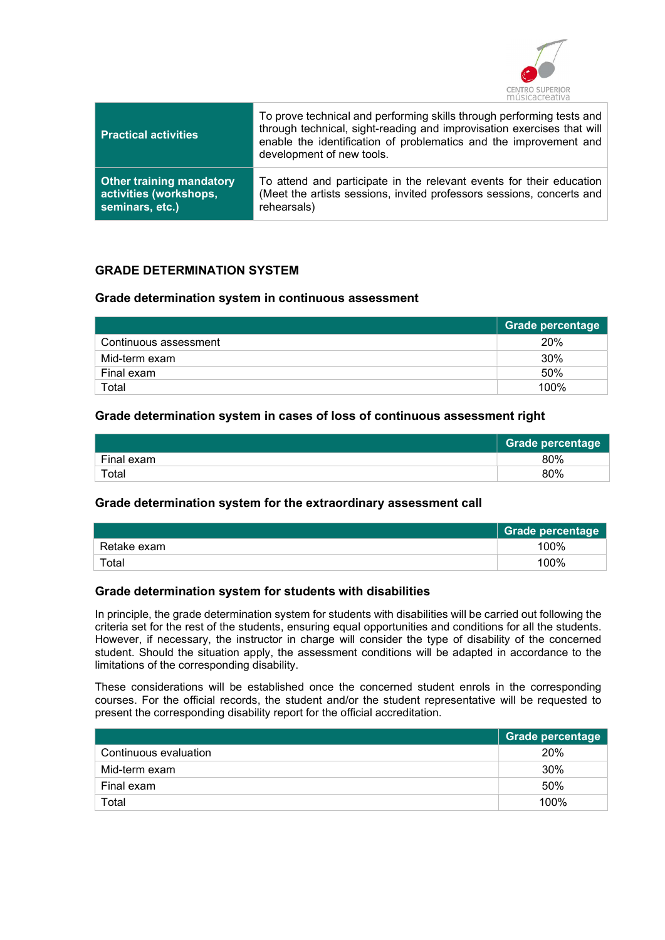

| <b>Practical activities</b>     | To prove technical and performing skills through performing tests and<br>through technical, sight-reading and improvisation exercises that will<br>enable the identification of problematics and the improvement and<br>development of new tools. |
|---------------------------------|---------------------------------------------------------------------------------------------------------------------------------------------------------------------------------------------------------------------------------------------------|
| <b>Other training mandatory</b> | To attend and participate in the relevant events for their education                                                                                                                                                                              |
| activities (workshops,          | (Meet the artists sessions, invited professors sessions, concerts and                                                                                                                                                                             |
| seminars, etc.)                 | rehearsals)                                                                                                                                                                                                                                       |

### GRADE DETERMINATION SYSTEM

#### Grade determination system in continuous assessment

|                       | Grade percentage |
|-----------------------|------------------|
| Continuous assessment | 20%              |
| Mid-term exam         | 30%              |
| Final exam            | 50%              |
| Total                 | 100%             |

#### Grade determination system in cases of loss of continuous assessment right

|            | <b>Grade percentage</b> |
|------------|-------------------------|
| Final exam | 80%                     |
| Total      | 80%                     |

#### Grade determination system for the extraordinary assessment call

|             | <b>Grade percentage</b> |
|-------------|-------------------------|
| Retake exam | 100%                    |
| Total       | 100%                    |

#### Grade determination system for students with disabilities

In principle, the grade determination system for students with disabilities will be carried out following the criteria set for the rest of the students, ensuring equal opportunities and conditions for all the students. However, if necessary, the instructor in charge will consider the type of disability of the concerned student. Should the situation apply, the assessment conditions will be adapted in accordance to the limitations of the corresponding disability.

These considerations will be established once the concerned student enrols in the corresponding courses. For the official records, the student and/or the student representative will be requested to present the corresponding disability report for the official accreditation.

|                       | Grade percentage |
|-----------------------|------------------|
| Continuous evaluation | 20%              |
| Mid-term exam         | 30%              |
| Final exam            | 50%              |
| Total                 | 100%             |